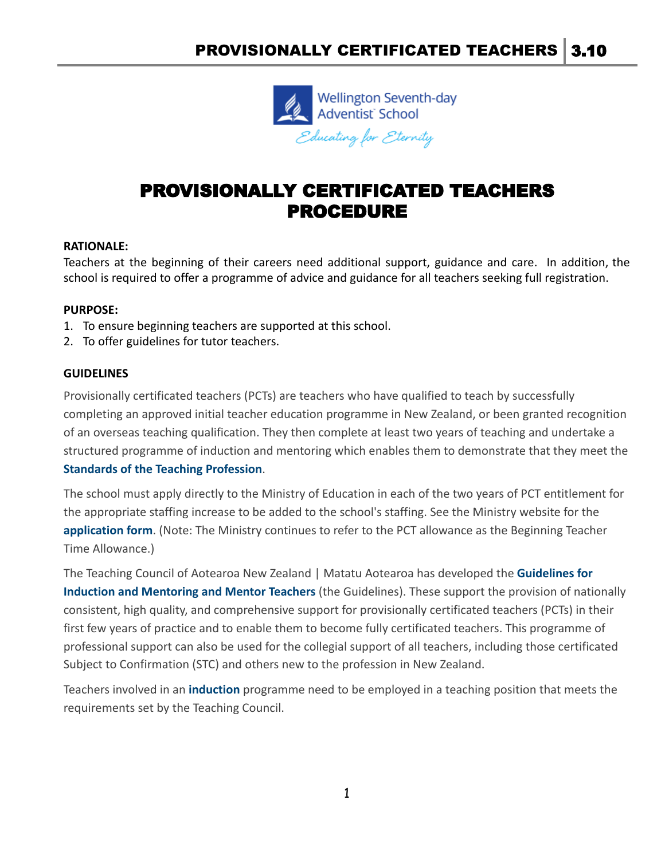

# PROVISIONALLY CERTIFICATED TEACHERS PROCEDURE

## **RATIONALE:**

Teachers at the beginning of their careers need additional support, guidance and care. In addition, the school is required to offer a programme of advice and guidance for all teachers seeking full registration.

#### **PURPOSE:**

- 1. To ensure beginning teachers are supported at this school.
- 2. To offer guidelines for tutor teachers.

### **GUIDELINES**

Provisionally certificated teachers (PCTs) are teachers who have qualified to teach by successfully completing an approved initial teacher education programme in New Zealand, or been granted recognition of an overseas teaching qualification. They then complete at least two years of teaching and undertake a structured programme of induction and mentoring which enables them to demonstrate that they meet the **[Standards of the Teaching Profession](https://teachingcouncil.nz/assets/Files/Code-and-Standards/Standards_Teaching_Profession_english.pdf)**.

The school must apply directly to the Ministry of Education in each of the two years of PCT entitlement for the appropriate staffing increase to be added to the school's staffing. See the Ministry website for the **[application form](https://www.education.govt.nz/school/funding-and-financials/resourcing/school-staffing/teacher-specific-staffing-allowances/#Begining)**. (Note: The Ministry continues to refer to the PCT allowance as the Beginning Teacher Time Allowance.)

The Teaching Council of Aotearoa New Zealand | Matatu Aotearoa has developed the **[Guidelines for](https://teachingcouncil.nz/assets/Files/Registration-and-certification/Guidelines-for-Induction-and-Mentoring-English.pdf) [Induction and Mentoring and Mentor Teachers](https://teachingcouncil.nz/assets/Files/Registration-and-certification/Guidelines-for-Induction-and-Mentoring-English.pdf)** (the Guidelines). These support the provision of nationally consistent, high quality, and comprehensive support for provisionally certificated teachers (PCTs) in their first few years of practice and to enable them to become fully certificated teachers. This programme of professional support can also be used for the collegial support of all teachers, including those certificated Subject to Confirmation (STC) and others new to the profession in New Zealand.

Teachers involved in an **[induction](https://demo.schooldocs.co.nz/34923.htm)** programme need to be employed in a teaching position that meets the requirements set by the Teaching Council.